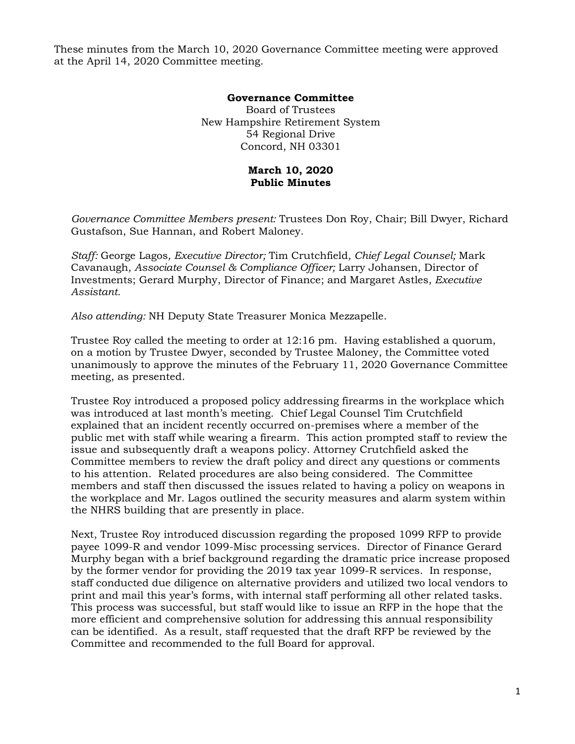These minutes from the March 10, 2020 Governance Committee meeting were approved at the April 14, 2020 Committee meeting.

## **Governance Committee**

Board of Trustees New Hampshire Retirement System 54 Regional Drive Concord, NH 03301

## **March 10, 2020 Public Minutes**

*Governance Committee Members present:* Trustees Don Roy, Chair; Bill Dwyer, Richard Gustafson, Sue Hannan, and Robert Maloney.

*Staff:* George Lagos*, Executive Director;* Tim Crutchfield*, Chief Legal Counsel;* Mark Cavanaugh*, Associate Counsel & Compliance Officer;* Larry Johansen, Director of Investments; Gerard Murphy, Director of Finance; and Margaret Astles*, Executive Assistant.* 

*Also attending:* NH Deputy State Treasurer Monica Mezzapelle.

Trustee Roy called the meeting to order at 12:16 pm. Having established a quorum, on a motion by Trustee Dwyer, seconded by Trustee Maloney, the Committee voted unanimously to approve the minutes of the February 11, 2020 Governance Committee meeting, as presented.

Trustee Roy introduced a proposed policy addressing firearms in the workplace which was introduced at last month's meeting. Chief Legal Counsel Tim Crutchfield explained that an incident recently occurred on-premises where a member of the public met with staff while wearing a firearm. This action prompted staff to review the issue and subsequently draft a weapons policy. Attorney Crutchfield asked the Committee members to review the draft policy and direct any questions or comments to his attention. Related procedures are also being considered. The Committee members and staff then discussed the issues related to having a policy on weapons in the workplace and Mr. Lagos outlined the security measures and alarm system within the NHRS building that are presently in place.

Next, Trustee Roy introduced discussion regarding the proposed 1099 RFP to provide payee 1099-R and vendor 1099-Misc processing services. Director of Finance Gerard Murphy began with a brief background regarding the dramatic price increase proposed by the former vendor for providing the 2019 tax year 1099-R services. In response, staff conducted due diligence on alternative providers and utilized two local vendors to print and mail this year's forms, with internal staff performing all other related tasks. This process was successful, but staff would like to issue an RFP in the hope that the more efficient and comprehensive solution for addressing this annual responsibility can be identified. As a result, staff requested that the draft RFP be reviewed by the Committee and recommended to the full Board for approval.